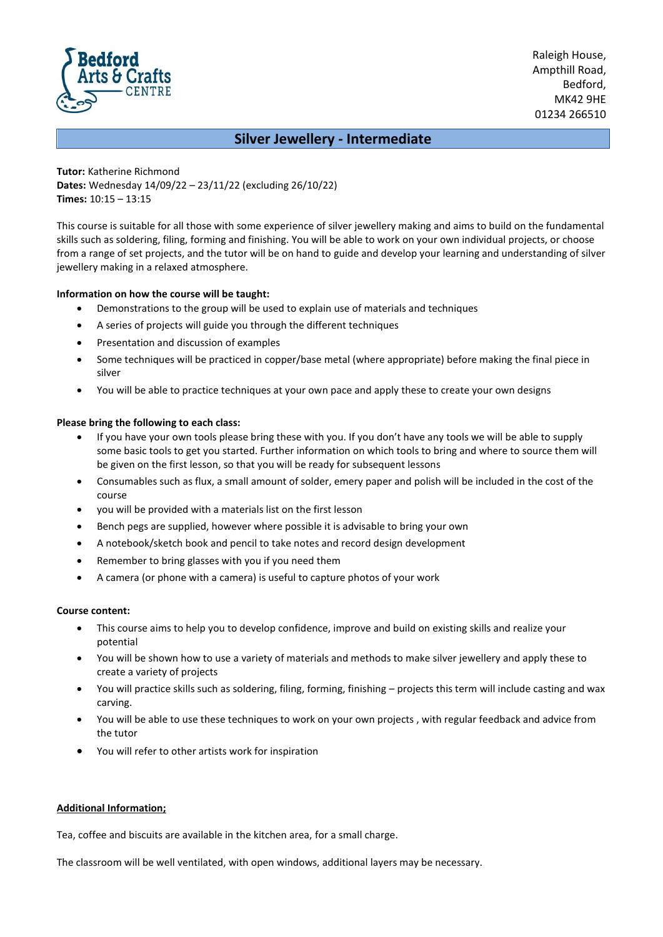

Raleigh House, Ampthill Road, Bedford, MK42 9HE 01234 266510

# **Silver Jewellery - Intermediate**

**Tutor:** Katherine Richmond **Dates:** Wednesday 14/09/22 – 23/11/22 (excluding 26/10/22) **Times:** 10:15 – 13:15

This course is suitable for all those with some experience of silver jewellery making and aims to build on the fundamental skills such as soldering, filing, forming and finishing. You will be able to work on your own individual projects, or choose from a range of set projects, and the tutor will be on hand to guide and develop your learning and understanding of silver jewellery making in a relaxed atmosphere.

# **Information on how the course will be taught:**

- Demonstrations to the group will be used to explain use of materials and techniques
- A series of projects will guide you through the different techniques
- Presentation and discussion of examples
- Some techniques will be practiced in copper/base metal (where appropriate) before making the final piece in silver
- You will be able to practice techniques at your own pace and apply these to create your own designs

# **Please bring the following to each class:**

- If you have your own tools please bring these with you. If you don't have any tools we will be able to supply some basic tools to get you started. Further information on which tools to bring and where to source them will be given on the first lesson, so that you will be ready for subsequent lessons
- Consumables such as flux, a small amount of solder, emery paper and polish will be included in the cost of the course
- you will be provided with a materials list on the first lesson
- Bench pegs are supplied, however where possible it is advisable to bring your own
- A notebook/sketch book and pencil to take notes and record design development
- Remember to bring glasses with you if you need them
- A camera (or phone with a camera) is useful to capture photos of your work

### **Course content:**

- This course aims to help you to develop confidence, improve and build on existing skills and realize your potential
- You will be shown how to use a variety of materials and methods to make silver jewellery and apply these to create a variety of projects
- You will practice skills such as soldering, filing, forming, finishing projects this term will include casting and wax carving.
- You will be able to use these techniques to work on your own projects , with regular feedback and advice from the tutor
- You will refer to other artists work for inspiration

# **Additional Information;**

Tea, coffee and biscuits are available in the kitchen area, for a small charge.

The classroom will be well ventilated, with open windows, additional layers may be necessary.